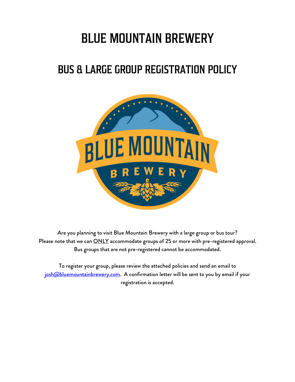# BLUE MOUNTAIN BREWERY

## BUS & LARGE GROUP REGISTRATION POLICY



Are you planning to visit Blue Mountain Brewery with a large group or bus tour? Please note that we can **ONLY** accommodate groups of 25 or more with pre-registered approval. Bus groups that are not pre-registered cannot be accommodated.

To register your group, please review the attached policies and send an email to josh@bluemountainbrewery.com. A confirmation letter will be sent to you by email if your registration is accepted.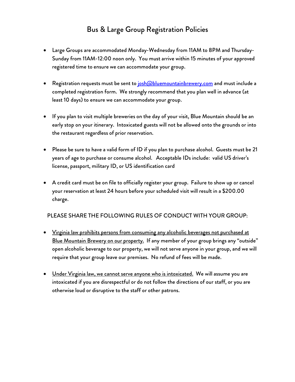## Bus & Large Group Registration Policies

- Large Groups are accommodated Monday-Wednesday from 11AM to 8PM and Thursday-Sunday from 11AM-12:00 noon only. You must arrive within 15 minutes of your approved registered time to ensure we can accommodate your group.
- Registration requests must be sent to **josh@bluemountainbrewery.com** and must include a completed registration form. We strongly recommend that you plan well in advance (at least 10 days) to ensure we can accommodate your group.
- If you plan to visit multiple breweries on the day of your visit, Blue Mountain should be an early stop on your itinerary. Intoxicated guests will not be allowed onto the grounds or into the restaurant regardless of prior reservation.
- Please be sure to have a valid form of ID if you plan to purchase alcohol. Guests must be 21 years of age to purchase or consume alcohol. Acceptable IDs include: valid US driver's license, passport, military ID, or US identification card
- A credit card must be on file to officially register your group. Failure to show up or cancel your reservation at least 24 hours before your scheduled visit will result in a \$200.00 charge.

#### PLEASE SHARE THE FOLLOWING RULES OF CONDUCT WITH YOUR GROUP:

- Virginia law prohibits persons from consuming any alcoholic beverages not purchased at Blue Mountain Brewery on our property. If any member of your group brings any "outside" open alcoholic beverage to our property, we will not serve anyone in your group, and we will require that your group leave our premises. No refund of fees will be made.
- Under Virginia law, we cannot serve anyone who is intoxicated. We will assume you are intoxicated if you are disrespectful or do not follow the directions of our staff, or you are otherwise loud or disruptive to the staff or other patrons.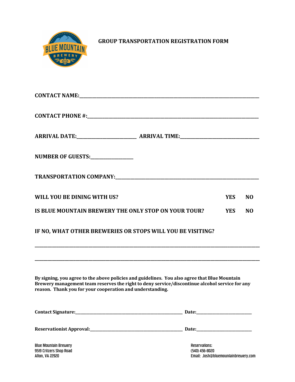

**GROUP TRANSPORTATION REGISTRATION FORM** 

| NUMBER OF GUESTS:______________                                                                                                                                                                                                                              |                      |            |                |
|--------------------------------------------------------------------------------------------------------------------------------------------------------------------------------------------------------------------------------------------------------------|----------------------|------------|----------------|
|                                                                                                                                                                                                                                                              |                      |            |                |
| WILL YOU BE DINING WITH US?                                                                                                                                                                                                                                  |                      | <b>YES</b> | N <sub>O</sub> |
| IS BLUE MOUNTAIN BREWERY THE ONLY STOP ON YOUR TOUR?                                                                                                                                                                                                         |                      | <b>YES</b> | N <sub>O</sub> |
| IF NO, WHAT OTHER BREWERIES OR STOPS WILL YOU BE VISITING?                                                                                                                                                                                                   |                      |            |                |
| By signing, you agree to the above policies and guidelines. You also agree that Blue Mountain<br>Brewery management team reserves the right to deny service/discontinue alcohol service for any<br>reason. Thank you for your cooperation and understanding. |                      |            |                |
|                                                                                                                                                                                                                                                              |                      |            |                |
|                                                                                                                                                                                                                                                              |                      |            |                |
| <b>Blue Mountain Brewery</b>                                                                                                                                                                                                                                 | <b>Reservations:</b> |            |                |

9519 Critzers Shop Road (540) 456-8020

Email: Josh@bluemountainbrewery.com